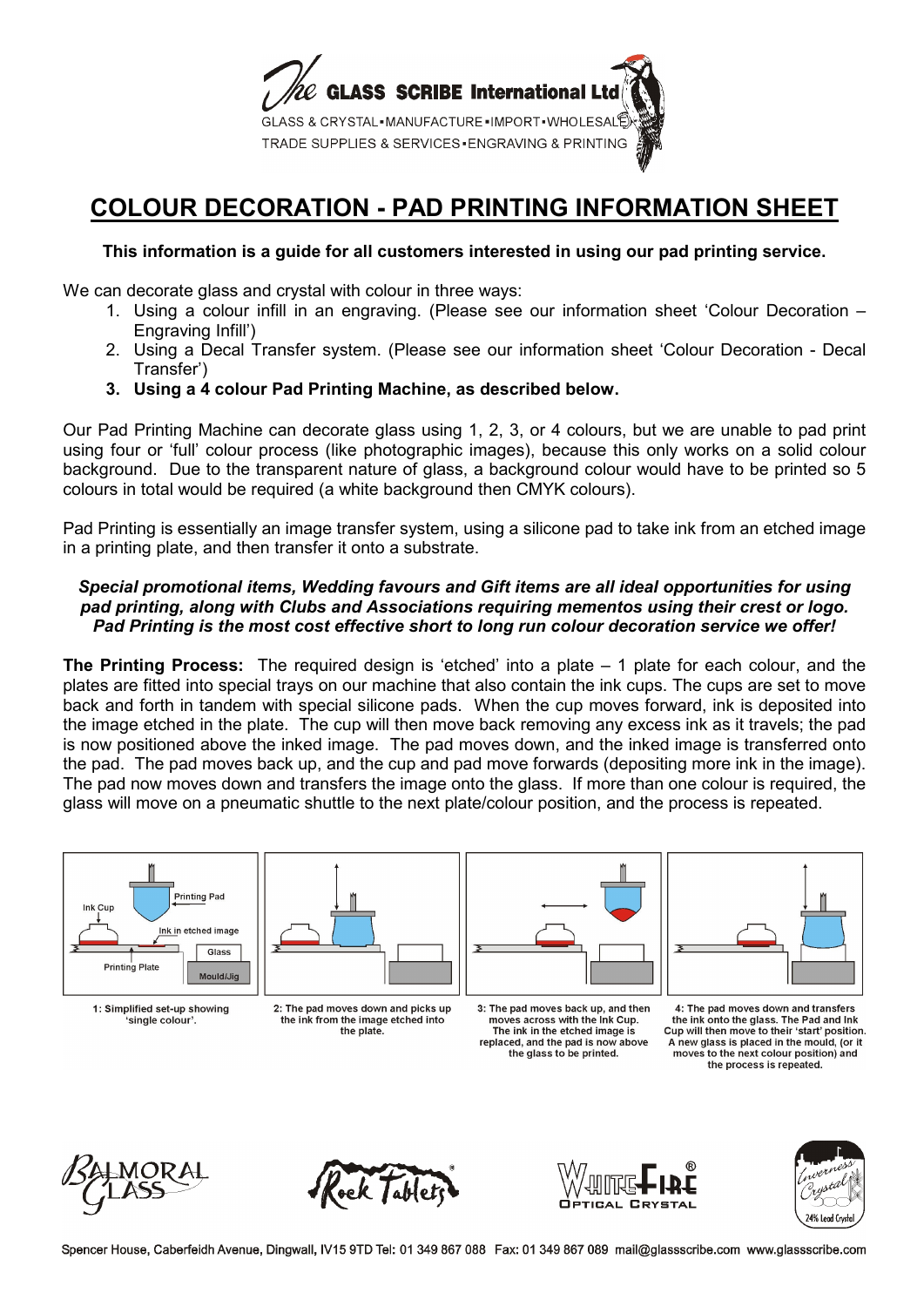

## **COLOUR DECORATION - PAD PRINTING INFORMATION SHEET**

## **This information is a guide for all customers interested in using our pad printing service.**

We can decorate glass and crystal with colour in three ways:

- 1. Using a colour infill in an engraving. (Please see our information sheet 'Colour Decoration Engraving Infill')
- 2. Using a Decal Transfer system. (Please see our information sheet 'Colour Decoration Decal Transfer')
- **3. Using a 4 colour Pad Printing Machine, as described below.**

Our Pad Printing Machine can decorate glass using 1, 2, 3, or 4 colours, but we are unable to pad print using four or 'full' colour process (like photographic images), because this only works on a solid colour background. Due to the transparent nature of glass, a background colour would have to be printed so 5 colours in total would be required (a white background then CMYK colours).

Pad Printing is essentially an image transfer system, using a silicone pad to take ink from an etched image in a printing plate, and then transfer it onto a substrate.

## *Special promotional items, Wedding favours and Gift items are all ideal opportunities for using pad printing, along with Clubs and Associations requiring mementos using their crest or logo. Pad Printing is the most cost effective short to long run colour decoration service we offer!*

**The Printing Process:** The required design is 'etched' into a plate – 1 plate for each colour, and the plates are fitted into special trays on our machine that also contain the ink cups. The cups are set to move back and forth in tandem with special silicone pads. When the cup moves forward, ink is deposited into the image etched in the plate. The cup will then move back removing any excess ink as it travels; the pad is now positioned above the inked image. The pad moves down, and the inked image is transferred onto the pad. The pad moves back up, and the cup and pad move forwards (depositing more ink in the image). The pad now moves down and transfers the image onto the glass. If more than one colour is required, the glass will move on a pneumatic shuttle to the next plate/colour position, and the process is repeated.











Spencer House, Caberfeidh Avenue, Dingwall, IV15 9TD Tel: 01 349 867 088 Fax: 01 349 867 089 mail@glassscribe.com www.glassscribe.com